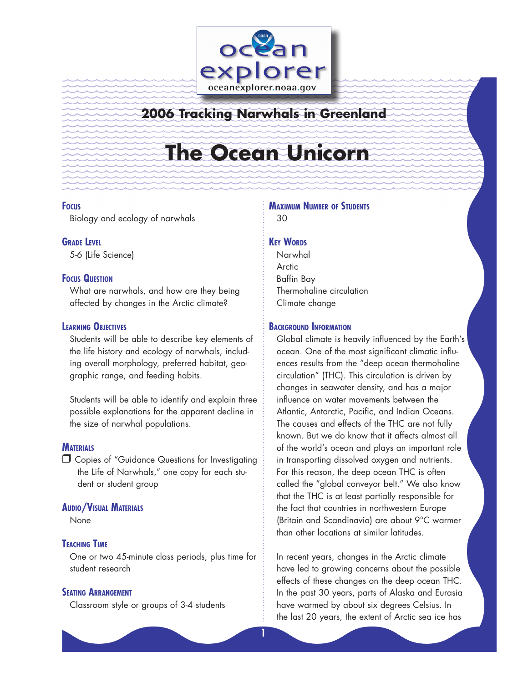

# **2006 Tracking Narwhals in Greenland**

# **The Ocean Unicorn**

1

## **Focus**

Biology and ecology of narwhals

## **GRADE LEVEL**

5-6 (Life Science)

## **Focus Question**

What are narwhals, and how are they being affected by changes in the Arctic climate?

## **Learning Objectives**

Students will be able to describe key elements of the life history and ecology of narwhals, including overall morphology, preferred habitat, geographic range, and feeding habits.

Students will be able to identify and explain three possible explanations for the apparent decline in the size of narwhal populations.

## **MATERIALS**

**T** Copies of "Guidance Questions for Investigating the Life of Narwhals," one copy for each student or student group

## **Audio/Visual Materials**

None

## **Teaching Time**

One or two 45-minute class periods, plus time for student research

## **Seating Arrangement**

Classroom style or groups of 3-4 students

## **Maximum Number of Students** 30

## **KEY WORDS**

Narwhal Arctic Baffin Bay Thermohaline circulation Climate change

## **Background Information**

Global climate is heavily influenced by the Earth's ocean. One of the most significant climatic influences results from the "deep ocean thermohaline circulation" (THC). This circulation is driven by changes in seawater density, and has a major influence on water movements between the Atlantic, Antarctic, Pacific, and Indian Oceans. The causes and effects of the THC are not fully known. But we do know that it affects almost all of the world's ocean and plays an important role in transporting dissolved oxygen and nutrients. For this reason, the deep ocean THC is often called the "global conveyor belt." We also know that the THC is at least partially responsible for the fact that countries in northwestern Europe (Britain and Scandinavia) are about 9°C warmer than other locations at similar latitudes.

In recent years, changes in the Arctic climate have led to growing concerns about the possible effects of these changes on the deep ocean THC. In the past 30 years, parts of Alaska and Eurasia have warmed by about six degrees Celsius. In the last 20 years, the extent of Arctic sea ice has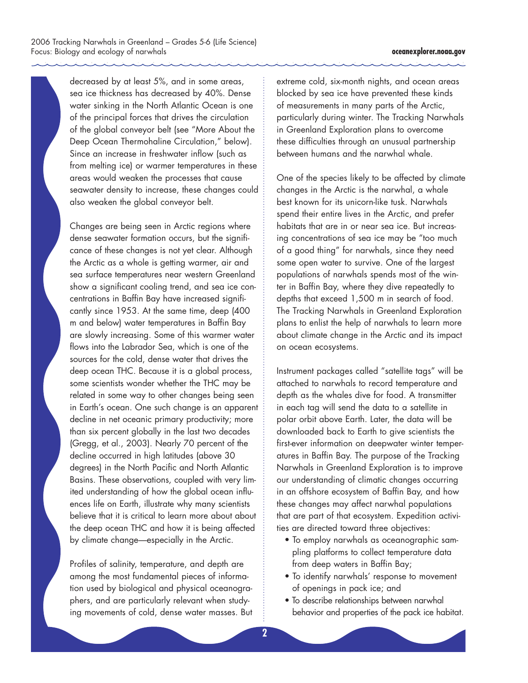decreased by at least 5%, and in some areas, sea ice thickness has decreased by 40%. Dense water sinking in the North Atlantic Ocean is one of the principal forces that drives the circulation of the global conveyor belt (see "More About the Deep Ocean Thermohaline Circulation," below). Since an increase in freshwater inflow (such as from melting ice) or warmer temperatures in these areas would weaken the processes that cause seawater density to increase, these changes could also weaken the global conveyor belt.

Changes are being seen in Arctic regions where dense seawater formation occurs, but the significance of these changes is not yet clear. Although the Arctic as a whole is getting warmer, air and sea surface temperatures near western Greenland show a significant cooling trend, and sea ice concentrations in Baffin Bay have increased significantly since 1953. At the same time, deep (400 m and below) water temperatures in Baffin Bay are slowly increasing. Some of this warmer water flows into the Labrador Sea, which is one of the sources for the cold, dense water that drives the deep ocean THC. Because it is a global process, some scientists wonder whether the THC may be related in some way to other changes being seen in Earth's ocean. One such change is an apparent decline in net oceanic primary productivity; more than six percent globally in the last two decades (Gregg, et al., 2003). Nearly 70 percent of the decline occurred in high latitudes (above 30 degrees) in the North Pacific and North Atlantic Basins. These observations, coupled with very limited understanding of how the global ocean influences life on Earth, illustrate why many scientists believe that it is critical to learn more about about the deep ocean THC and how it is being affected by climate change—especially in the Arctic.

Profiles of salinity, temperature, and depth are among the most fundamental pieces of information used by biological and physical oceanographers, and are particularly relevant when studying movements of cold, dense water masses. But

extreme cold, six-month nights, and ocean areas blocked by sea ice have prevented these kinds of measurements in many parts of the Arctic, particularly during winter. The Tracking Narwhals in Greenland Exploration plans to overcome these difficulties through an unusual partnership between humans and the narwhal whale.

One of the species likely to be affected by climate changes in the Arctic is the narwhal, a whale best known for its unicorn-like tusk. Narwhals spend their entire lives in the Arctic, and prefer habitats that are in or near sea ice. But increasing concentrations of sea ice may be "too much of a good thing" for narwhals, since they need some open water to survive. One of the largest populations of narwhals spends most of the winter in Baffin Bay, where they dive repeatedly to depths that exceed 1,500 m in search of food. The Tracking Narwhals in Greenland Exploration plans to enlist the help of narwhals to learn more about climate change in the Arctic and its impact on ocean ecosystems.

Instrument packages called "satellite tags" will be attached to narwhals to record temperature and depth as the whales dive for food. A transmitter in each tag will send the data to a satellite in polar orbit above Earth. Later, the data will be downloaded back to Earth to give scientists the first-ever information on deepwater winter temperatures in Baffin Bay. The purpose of the Tracking Narwhals in Greenland Exploration is to improve our understanding of climatic changes occurring in an offshore ecosystem of Baffin Bay, and how these changes may affect narwhal populations that are part of that ecosystem. Expedition activities are directed toward three objectives:

- To employ narwhals as oceanographic sampling platforms to collect temperature data from deep waters in Baffin Bay;
- To identify narwhals' response to movement of openings in pack ice; and
- To describe relationships between narwhal behavior and properties of the pack ice habitat.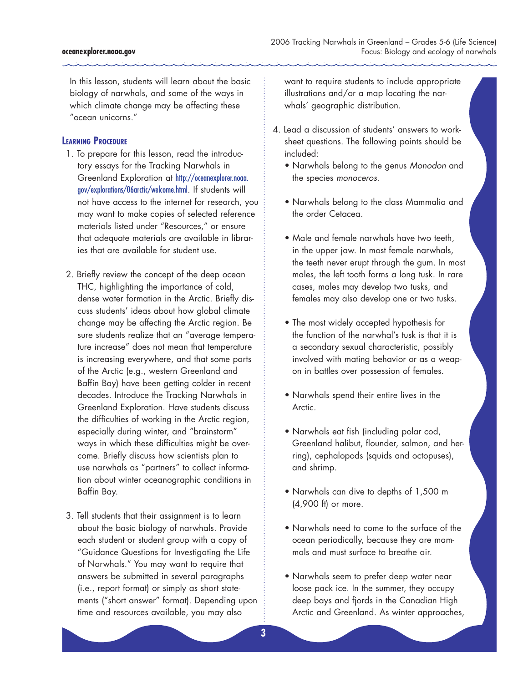#### **oceanexplorer.noaa.gov**

In this lesson, students will learn about the basic biology of narwhals, and some of the ways in which climate change may be affecting these "ocean unicorns."

#### **Learning Procedure**

- 1. To prepare for this lesson, read the introductory essays for the Tracking Narwhals in Greenland Exploration at http://oceanexplorer.noaa. gov/explorations/06arctic/welcome.html. If students will not have access to the internet for research, you may want to make copies of selected reference materials listed under "Resources," or ensure that adequate materials are available in libraries that are available for student use.
- 2. Briefly review the concept of the deep ocean THC, highlighting the importance of cold, dense water formation in the Arctic. Briefly discuss students' ideas about how global climate change may be affecting the Arctic region. Be sure students realize that an "average temperature increase" does not mean that temperature is increasing everywhere, and that some parts of the Arctic (e.g., western Greenland and Baffin Bay) have been getting colder in recent decades. Introduce the Tracking Narwhals in Greenland Exploration. Have students discuss the difficulties of working in the Arctic region, especially during winter, and "brainstorm" ways in which these difficulties might be overcome. Briefly discuss how scientists plan to use narwhals as "partners" to collect information about winter oceanographic conditions in Baffin Bay.
- 3. Tell students that their assignment is to learn about the basic biology of narwhals. Provide each student or student group with a copy of "Guidance Questions for Investigating the Life of Narwhals." You may want to require that answers be submitted in several paragraphs (i.e., report format) or simply as short statements ("short answer" format). Depending upon time and resources available, you may also

want to require students to include appropriate illustrations and/or a map locating the narwhals' geographic distribution.

- 4. Lead a discussion of students' answers to worksheet questions. The following points should be included:
	- Narwhals belong to the genus *Monodon* and the species *monoceros*.
	- Narwhals belong to the class Mammalia and the order Cetacea.
	- Male and female narwhals have two teeth, in the upper jaw. In most female narwhals, the teeth never erupt through the gum. In most males, the left tooth forms a long tusk. In rare cases, males may develop two tusks, and females may also develop one or two tusks.
	- The most widely accepted hypothesis for the function of the narwhal's tusk is that it is a secondary sexual characteristic, possibly involved with mating behavior or as a weapon in battles over possession of females.
	- Narwhals spend their entire lives in the Arctic.
	- Narwhals eat fish (including polar cod, Greenland halibut, flounder, salmon, and herring), cephalopods (squids and octopuses), and shrimp.
	- Narwhals can dive to depths of 1,500 m (4,900 ft) or more.
	- Narwhals need to come to the surface of the ocean periodically, because they are mammals and must surface to breathe air.
	- Narwhals seem to prefer deep water near loose pack ice. In the summer, they occupy deep bays and fjords in the Canadian High Arctic and Greenland. As winter approaches,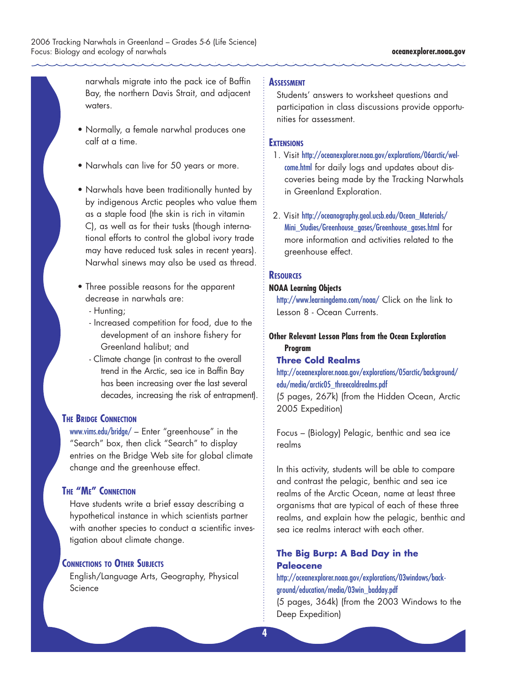

narwhals migrate into the pack ice of Baffin Bay, the northern Davis Strait, and adjacent waters.

- Normally, a female narwhal produces one calf at a time.
- Narwhals can live for 50 years or more.
- Narwhals have been traditionally hunted by by indigenous Arctic peoples who value them as a staple food (the skin is rich in vitamin C), as well as for their tusks (though international efforts to control the global ivory trade may have reduced tusk sales in recent years). Narwhal sinews may also be used as thread.
- Three possible reasons for the apparent decrease in narwhals are:
	- Hunting;
	- Increased competition for food, due to the development of an inshore fishery for Greenland halibut; and
	- Climate change (in contrast to the overall trend in the Arctic, sea ice in Baffin Bay has been increasing over the last several decades, increasing the risk of entrapment).

## **The Bridge Connection**

www.vims.edu/bridge/ – Enter "greenhouse" in the "Search" box, then click "Search" to display entries on the Bridge Web site for global climate change and the greenhouse effect.

## **The "Me" Connection**

Have students write a brief essay describing a hypothetical instance in which scientists partner with another species to conduct a scientific investigation about climate change.

## **Connections to Other Subjects**

English/Language Arts, Geography, Physical Science

## **Assessment**

Students' answers to worksheet questions and participation in class discussions provide opportunities for assessment.

#### **EXTENSIONS**

- 1. Visit http://oceanexplorer.noaa.gov/explorations/06arctic/welcome.html for daily logs and updates about discoveries being made by the Tracking Narwhals in Greenland Exploration.
- 2. Visit http://oceanography.geol.ucsb.edu/Ocean\_Materials/ Mini\_Studies/Greenhouse\_gases/Greenhouse\_gases.html for more information and activities related to the greenhouse effect.

## **Resources**

#### **NOAA Learning Objects**

http://www.learningdemo.com/noaa/ Click on the link to Lesson 8 - Ocean Currents.

## **Other Relevant Lesson Plans from the Ocean Exploration Program**

## **Three Cold Realms**

## http://oceanexplorer.noaa.gov/explorations/05arctic/background/ edu/media/arctic05\_threecoldrealms.pdf

(5 pages, 267k) (from the Hidden Ocean, Arctic 2005 Expedition)

Focus – (Biology) Pelagic, benthic and sea ice realms

In this activity, students will be able to compare and contrast the pelagic, benthic and sea ice realms of the Arctic Ocean, name at least three organisms that are typical of each of these three realms, and explain how the pelagic, benthic and sea ice realms interact with each other.

## **The Big Burp: A Bad Day in the Paleocene**

http://oceanexplorer.noaa.gov/explorations/03windows/background/education/media/03win\_badday.pdf (5 pages, 364k) (from the 2003 Windows to the Deep Expedition)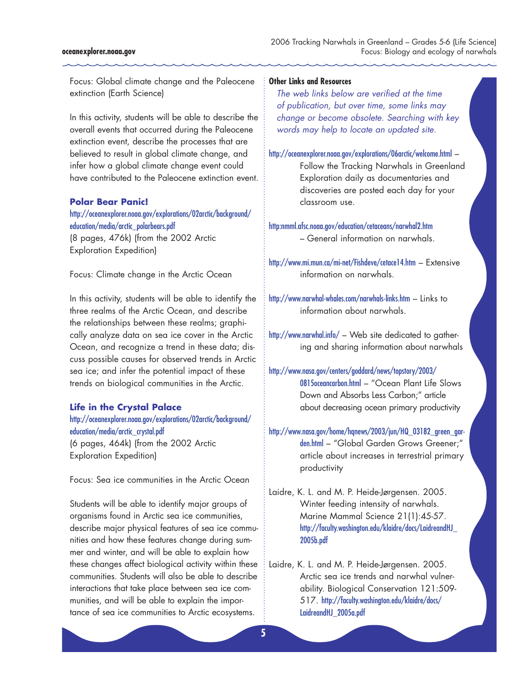#### **oceanexplorer.noaa.gov**

Focus: Global climate change and the Paleocene extinction (Earth Science)

In this activity, students will be able to describe the overall events that occurred during the Paleocene extinction event, describe the processes that are believed to result in global climate change, and infer how a global climate change event could have contributed to the Paleocene extinction event.

#### **Polar Bear Panic!**

http://oceanexplorer.noaa.gov/explorations/02arctic/background/ education/media/arctic\_polarbears.pdf

(8 pages, 476k) (from the 2002 Arctic Exploration Expedition)

Focus: Climate change in the Arctic Ocean

In this activity, students will be able to identify the three realms of the Arctic Ocean, and describe the relationships between these realms; graphically analyze data on sea ice cover in the Arctic Ocean, and recognize a trend in these data; discuss possible causes for observed trends in Arctic sea ice; and infer the potential impact of these trends on biological communities in the Arctic.

#### **Life in the Crystal Palace**

http://oceanexplorer.noaa.gov/explorations/02arctic/background/ education/media/arctic\_crystal.pdf (6 pages, 464k) (from the 2002 Arctic

Exploration Expedition)

Focus: Sea ice communities in the Arctic Ocean

Students will be able to identify major groups of organisms found in Arctic sea ice communities, describe major physical features of sea ice communities and how these features change during summer and winter, and will be able to explain how these changes affect biological activity within these communities. Students will also be able to describe interactions that take place between sea ice communities, and will be able to explain the importance of sea ice communities to Arctic ecosystems.

#### **Other Links and Resources**

*The web links below are verified at the time of publication, but over time, some links may change or become obsolete. Searching with key words may help to locate an updated site.*

http://oceanexplorer.noaa.gov/explorations/06arctic/welcome.html – Follow the Tracking Narwhals in Greenland Exploration daily as documentaries and discoveries are posted each day for your

classroom use. http:nmml.afsc.noaa.gov/education/cetaceans/narwhal2.htm

– General information on narwhals.

http://www.mi.mun.ca/mi-net/Fishdeve/cetace14.htm – Extensive information on narwhals.

http://www.narwhal-whales.com/narwhals-links.htm – Links to information about narwhals.

http://www.narwhal.info/ – Web site dedicated to gathering and sharing information about narwhals

http://www.nasa.gov/centers/goddard/news/topstory/2003/ 0815oceancarbon.html – "Ocean Plant Life Slows Down and Absorbs Less Carbon;" article about decreasing ocean primary productivity

http://www.nasa.gov/home/hqnews/2003/jun/HQ\_03182\_green\_garden.html – "Global Garden Grows Greener;" article about increases in terrestrial primary productivity

Laidre, K. L. and M. P. Heide-Jørgensen. 2005. Winter feeding intensity of narwhals. Marine Mammal Science 21(1):45-57. http://faculty.washington.edu/klaidre/docs/LaidreandHJ\_ 2005b.pdf

Laidre, K. L. and M. P. Heide-Jørgensen. 2005. Arctic sea ice trends and narwhal vulnerability. Biological Conservation 121:509- 517. http://faculty.washington.edu/klaidre/docs/ LaidreandHJ\_2005a.pdf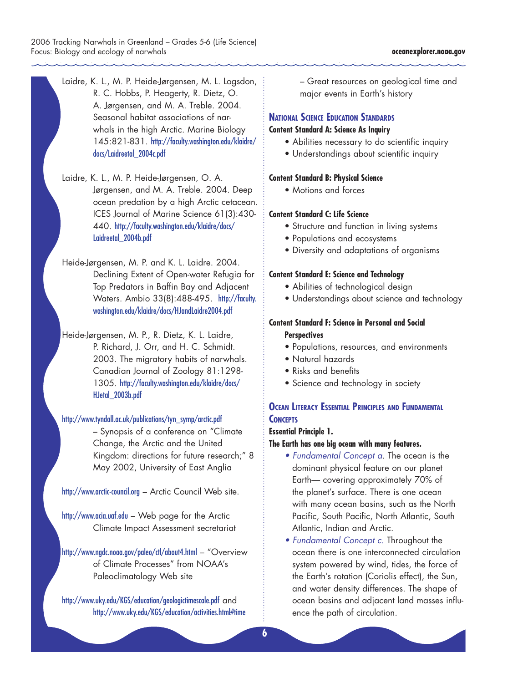Laidre, K. L., M. P. Heide-Jørgensen, M. L. Logsdon, R. C. Hobbs, P. Heagerty, R. Dietz, O. A. Jørgensen, and M. A. Treble. 2004. Seasonal habitat associations of narwhals in the high Arctic. Marine Biology 145:821-831. http://faculty.washington.edu/klaidre/ docs/Laidreetal\_2004c.pdf

Laidre, K. L., M. P. Heide-Jørgensen, O. A. Jørgensen, and M. A. Treble. 2004. Deep ocean predation by a high Arctic cetacean. ICES Journal of Marine Science 61(3):430- 440. http://faculty.washington.edu/klaidre/docs/ Laidreetal\_2004b.pdf

Heide-Jørgensen, M. P. and K. L. Laidre. 2004. Declining Extent of Open-water Refugia for Top Predators in Baffin Bay and Adjacent Waters. Ambio 33(8):488-495. http://faculty. washington.edu/klaidre/docs/HJandLaidre2004.pdf

Heide-Jørgensen, M. P., R. Dietz, K. L. Laidre, P. Richard, J. Orr, and H. C. Schmidt. 2003. The migratory habits of narwhals. Canadian Journal of Zoology 81:1298- 1305. http://faculty.washington.edu/klaidre/docs/ HJetal\_2003b.pdf

#### http://www.tyndall.ac.uk/publications/tyn\_symp/arctic.pdf

– Synopsis of a conference on "Climate Change, the Arctic and the United Kingdom: directions for future research;" 8 May 2002, University of East Anglia

http://www.arctic-council.org – Arctic Council Web site.

http://www.acia.uaf.edu – Web page for the Arctic Climate Impact Assessment secretariat

http://www.ngdc.noaa.gov/paleo/ctl/about4.html – "Overview of Climate Processes" from NOAA's Paleoclimatology Web site

http://www.uky.edu/KGS/education/geologictimescale.pdf and http://www.uky.edu/KGS/education/activities.html#time – Great resources on geological time and major events in Earth's history

## **National Science Education Standards**

## **Content Standard A: Science As Inquiry**

- Abilities necessary to do scientific inquiry
- Understandings about scientific inquiry

#### **Content Standard B: Physical Science**

• Motions and forces

## **Content Standard C: Life Science**

- Structure and function in living systems
- Populations and ecosystems
- Diversity and adaptations of organisms

#### **Content Standard E: Science and Technology**

- Abilities of technological design
- Understandings about science and technology

## **Content Standard F: Science in Personal and Social Perspectives**

- Populations, resources, and environments
- Natural hazards
- Risks and benefits
- Science and technology in society

## **Ocean Literacy Essential Principles and Fundamental CONCEPTS**

## **Essential Principle 1.**

**The Earth has one big ocean with many features.**

- *Fundamental Concept a*. The ocean is the dominant physical feature on our planet Earth— covering approximately 70% of the planet's surface. There is one ocean with many ocean basins, such as the North Pacific, South Pacific, North Atlantic, South Atlantic, Indian and Arctic.
- *Fundamental Concept c.* Throughout the ocean there is one interconnected circulation system powered by wind, tides, the force of the Earth's rotation (Coriolis effect), the Sun, and water density differences. The shape of ocean basins and adjacent land masses influence the path of circulation.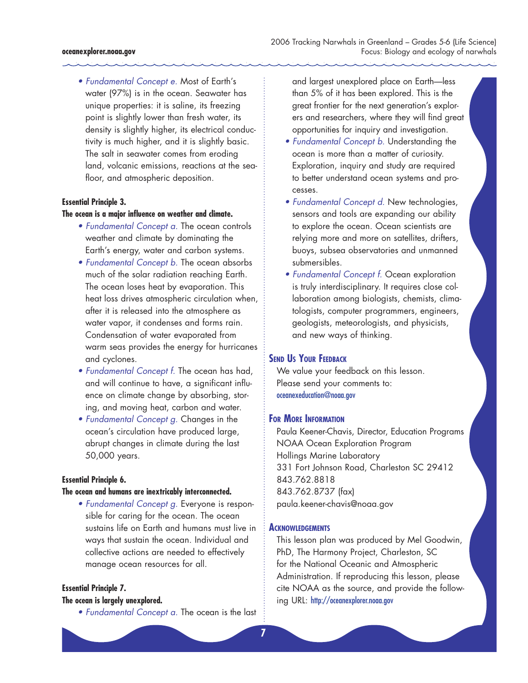#### **oceanexplorer.noaa.gov**

*• Fundamental Concept e.* Most of Earth's water (97%) is in the ocean. Seawater has unique properties: it is saline, its freezing point is slightly lower than fresh water, its density is slightly higher, its electrical conductivity is much higher, and it is slightly basic. The salt in seawater comes from eroding land, volcanic emissions, reactions at the seafloor, and atmospheric deposition.

#### **Essential Principle 3.**

#### **The ocean is a major influence on weather and climate.**

- *Fundamental Concept a.* The ocean controls weather and climate by dominating the Earth's energy, water and carbon systems.
- *Fundamental Concept b.* The ocean absorbs much of the solar radiation reaching Earth. The ocean loses heat by evaporation. This heat loss drives atmospheric circulation when, after it is released into the atmosphere as water vapor, it condenses and forms rain. Condensation of water evaporated from warm seas provides the energy for hurricanes and cyclones.
- *Fundamental Concept f.* The ocean has had, and will continue to have, a significant influence on climate change by absorbing, storing, and moving heat, carbon and water.
- *Fundamental Concept g.* Changes in the ocean's circulation have produced large, abrupt changes in climate during the last 50,000 years.

## **Essential Principle 6.**

#### **The ocean and humans are inextricably interconnected.**

*• Fundamental Concept g.* Everyone is responsible for caring for the ocean. The ocean sustains life on Earth and humans must live in ways that sustain the ocean. Individual and collective actions are needed to effectively manage ocean resources for all.

## **Essential Principle 7.**

#### **The ocean is largely unexplored.**

*• Fundamental Concept a.* The ocean is the last

and largest unexplored place on Earth—less than 5% of it has been explored. This is the great frontier for the next generation's explorers and researchers, where they will find great opportunities for inquiry and investigation.

- *Fundamental Concept b.* Understanding the ocean is more than a matter of curiosity. Exploration, inquiry and study are required to better understand ocean systems and processes.
- *Fundamental Concept d.* New technologies, sensors and tools are expanding our ability to explore the ocean. Ocean scientists are relying more and more on satellites, drifters, buoys, subsea observatories and unmanned submersibles.
- *Fundamental Concept f.* Ocean exploration is truly interdisciplinary. It requires close collaboration among biologists, chemists, climatologists, computer programmers, engineers, geologists, meteorologists, and physicists, and new ways of thinking.

#### **Send Us Your Feedback**

We value your feedback on this lesson. Please send your comments to: oceanexeducation@noaa.gov

#### **For More Information**

Paula Keener-Chavis, Director, Education Programs NOAA Ocean Exploration Program Hollings Marine Laboratory 331 Fort Johnson Road, Charleston SC 29412 843.762.8818 843.762.8737 (fax) paula.keener-chavis@noaa.gov

#### **Acknowledgements**

This lesson plan was produced by Mel Goodwin, PhD, The Harmony Project, Charleston, SC for the National Oceanic and Atmospheric Administration. If reproducing this lesson, please cite NOAA as the source, and provide the following URL: http://oceanexplorer.noaa.gov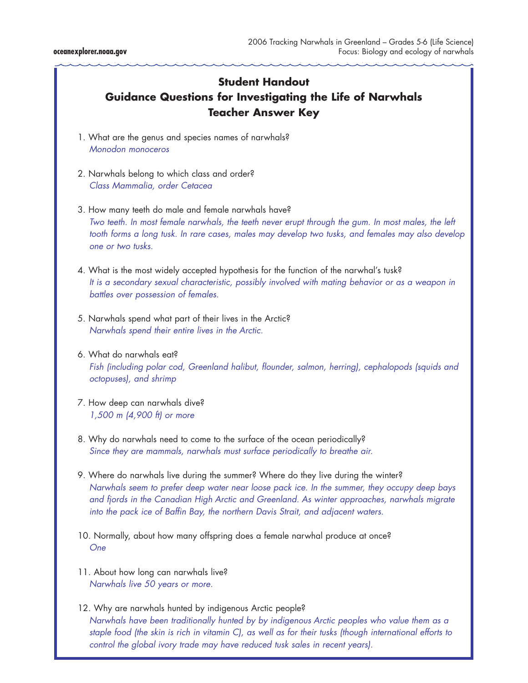# **Student Handout Guidance Questions for Investigating the Life of Narwhals Teacher Answer Key**

- 1. What are the genus and species names of narwhals? *Monodon monoceros*
- 2. Narwhals belong to which class and order? *Class Mammalia, order Cetacea*
- 3. How many teeth do male and female narwhals have? *Two teeth. In most female narwhals, the teeth never erupt through the gum. In most males, the left tooth forms a long tusk. In rare cases, males may develop two tusks, and females may also develop one or two tusks.*
- 4. What is the most widely accepted hypothesis for the function of the narwhal's tusk? *It is a secondary sexual characteristic, possibly involved with mating behavior or as a weapon in battles over possession of females.*
- 5. Narwhals spend what part of their lives in the Arctic? *Narwhals spend their entire lives in the Arctic.*
- 6. What do narwhals eat? *Fish (including polar cod, Greenland halibut, flounder, salmon, herring), cephalopods (squids and octopuses), and shrimp*
- 7. How deep can narwhals dive? *1,500 m (4,900 ft) or more*
- 8. Why do narwhals need to come to the surface of the ocean periodically? *Since they are mammals, narwhals must surface periodically to breathe air.*
- 9. Where do narwhals live during the summer? Where do they live during the winter? *Narwhals seem to prefer deep water near loose pack ice. In the summer, they occupy deep bays and fjords in the Canadian High Arctic and Greenland. As winter approaches, narwhals migrate into the pack ice of Baffin Bay, the northern Davis Strait, and adjacent waters.*
- 10. Normally, about how many offspring does a female narwhal produce at once? *One*
- 11. About how long can narwhals live? *Narwhals live 50 years or more.*
- 12. Why are narwhals hunted by indigenous Arctic people? *Narwhals have been traditionally hunted by by indigenous Arctic peoples who value them as a staple food (the skin is rich in vitamin C), as well as for their tusks (though international efforts to control the global ivory trade may have reduced tusk sales in recent years).*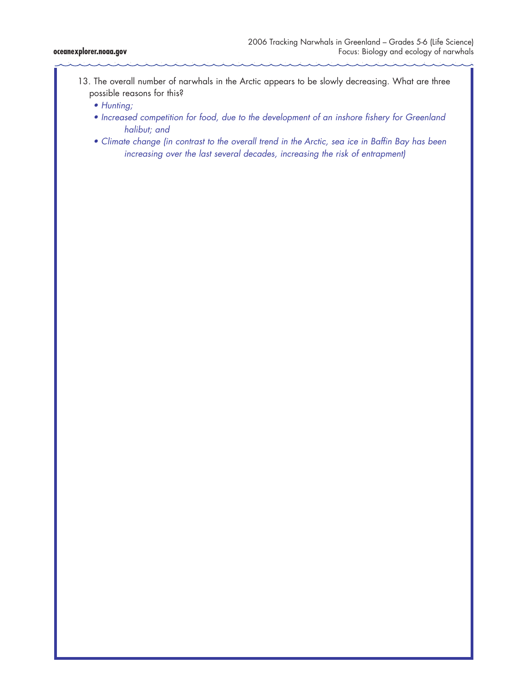- 13. The overall number of narwhals in the Arctic appears to be slowly decreasing. What are three possible reasons for this?
	- *Hunting;*
	- *Increased competition for food, due to the development of an inshore fishery for Greenland halibut; and*
	- *Climate change (in contrast to the overall trend in the Arctic, sea ice in Baffin Bay has been increasing over the last several decades, increasing the risk of entrapment)*